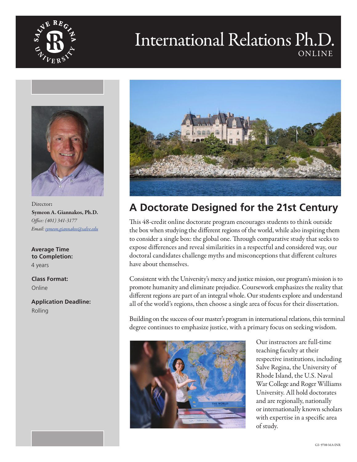

# International Relations Ph.D. **ONLINE**



Director: Symeon A. Giannakos, Ph.D. *Office: (401) 341-3177 Email: [symeon.giannakos@salve.edu](mailto:symeon.giannakos%40salve.edu?subject=)*

**Average Time to Completion:** 4 years

**Class Format:**  Online

**Application Deadline:**  Rolling



## **A Doctorate Designed for the 21st Century**

This 48-credit online doctorate program encourages students to think outside the box when studying the different regions of the world, while also inspiring them to consider a single box: the global one. Through comparative study that seeks to expose differences and reveal similarities in a respectful and considered way, our doctoral candidates challenge myths and misconceptions that different cultures have about themselves.

Consistent with the University's mercy and justice mission, our program's mission is to promote humanity and eliminate prejudice. Coursework emphasizes the reality that different regions are part of an integral whole. Our students explore and understand all of the world's regions, then choose a single area of focus for their dissertation.

Building on the success of our master's program in international relations, this terminal degree continues to emphasize justice, with a primary focus on seeking wisdom.



Our instructors are full-time teaching faculty at their respective institutions, including Salve Regina, the University of Rhode Island, the U.S. Naval War College and Roger Williams University. All hold doctorates and are regionally, nationally or internationally known scholars with expertise in a specific area of study.